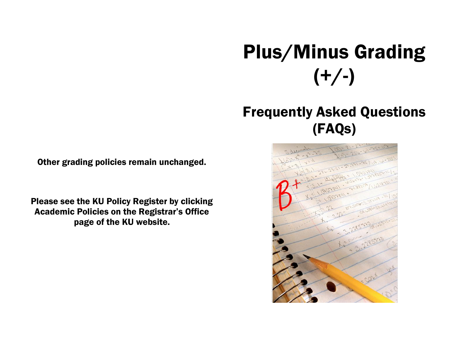# Plus/Minus Grading  $(+/-)$

# Frequently Asked Questions (FAQs)



Other grading policies remain unchanged.

Please see the KU Policy Register by clicking Academic Policies on the Registrar's Office page of the KU website.